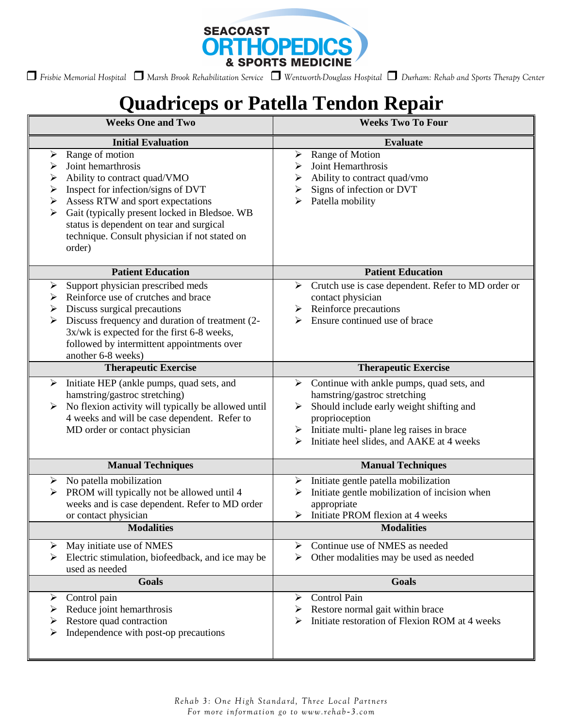

 *Frisbie Memorial Hospital Marsh Brook Rehabilitation Service Wentworth-Douglass Hospital Durham: Rehab and Sports Therapy Center* 

## **Quadriceps or Patella Tendon Repair**

| <b>Weeks One and Two</b>                                                                                                                                                                                                                                                                                                                                   | <b>Weeks Two To Four</b>                                                                                                                                                                                                                                         |
|------------------------------------------------------------------------------------------------------------------------------------------------------------------------------------------------------------------------------------------------------------------------------------------------------------------------------------------------------------|------------------------------------------------------------------------------------------------------------------------------------------------------------------------------------------------------------------------------------------------------------------|
| <b>Initial Evaluation</b>                                                                                                                                                                                                                                                                                                                                  | <b>Evaluate</b>                                                                                                                                                                                                                                                  |
| Range of motion<br>$\blacktriangleright$<br>Joint hemarthrosis<br>➤<br>Ability to contract quad/VMO<br>➤<br>Inspect for infection/signs of DVT<br>➤<br>Assess RTW and sport expectations<br>➤<br>Gait (typically present locked in Bledsoe. WB<br>➤<br>status is dependent on tear and surgical<br>technique. Consult physician if not stated on<br>order) | Range of Motion<br>➤<br>Joint Hemarthrosis<br>➤<br>Ability to contract quad/vmo<br>➤<br>Signs of infection or DVT<br>Patella mobility                                                                                                                            |
| <b>Patient Education</b>                                                                                                                                                                                                                                                                                                                                   | <b>Patient Education</b>                                                                                                                                                                                                                                         |
| Support physician prescribed meds<br>$\blacktriangleright$<br>Reinforce use of crutches and brace<br>➤<br>Discuss surgical precautions<br>≻<br>$\blacktriangleright$<br>Discuss frequency and duration of treatment (2-<br>3x/wk is expected for the first 6-8 weeks,<br>followed by intermittent appointments over<br>another 6-8 weeks)                  | Crutch use is case dependent. Refer to MD order or<br>≻<br>contact physician<br>Reinforce precautions<br>➤<br>Ensure continued use of brace                                                                                                                      |
| <b>Therapeutic Exercise</b>                                                                                                                                                                                                                                                                                                                                | <b>Therapeutic Exercise</b>                                                                                                                                                                                                                                      |
| Initiate HEP (ankle pumps, quad sets, and<br>➤<br>hamstring/gastroc stretching)<br>No flexion activity will typically be allowed until<br>➤<br>4 weeks and will be case dependent. Refer to<br>MD order or contact physician                                                                                                                               | Continue with ankle pumps, quad sets, and<br>≻<br>hamstring/gastroc stretching<br>Should include early weight shifting and<br>➤<br>proprioception<br>$\triangleright$ Initiate multi-plane leg raises in brace<br>Initiate heel slides, and AAKE at 4 weeks<br>⋗ |
| <b>Manual Techniques</b>                                                                                                                                                                                                                                                                                                                                   | <b>Manual Techniques</b>                                                                                                                                                                                                                                         |
| No patella mobilization<br>➤<br>PROM will typically not be allowed until 4<br>➤<br>weeks and is case dependent. Refer to MD order<br>or contact physician                                                                                                                                                                                                  | Initiate gentle patella mobilization<br>➤<br>Initiate gentle mobilization of incision when<br>appropriate<br>Initiate PROM flexion at 4 weeks<br>➤                                                                                                               |
| <b>Modalities</b>                                                                                                                                                                                                                                                                                                                                          | <b>Modalities</b>                                                                                                                                                                                                                                                |
| May initiate use of NMES<br>➤<br>Electric stimulation, biofeedback, and ice may be<br>➤<br>used as needed                                                                                                                                                                                                                                                  | Continue use of NMES as needed<br>➤<br>Other modalities may be used as needed<br>➤                                                                                                                                                                               |
| <b>Goals</b>                                                                                                                                                                                                                                                                                                                                               | <b>Goals</b>                                                                                                                                                                                                                                                     |
| Control pain<br>➤<br>Reduce joint hemarthrosis<br>➤<br>Restore quad contraction<br>Independence with post-op precautions<br>➤                                                                                                                                                                                                                              | <b>Control Pain</b><br>➤<br>Restore normal gait within brace<br>Initiate restoration of Flexion ROM at 4 weeks                                                                                                                                                   |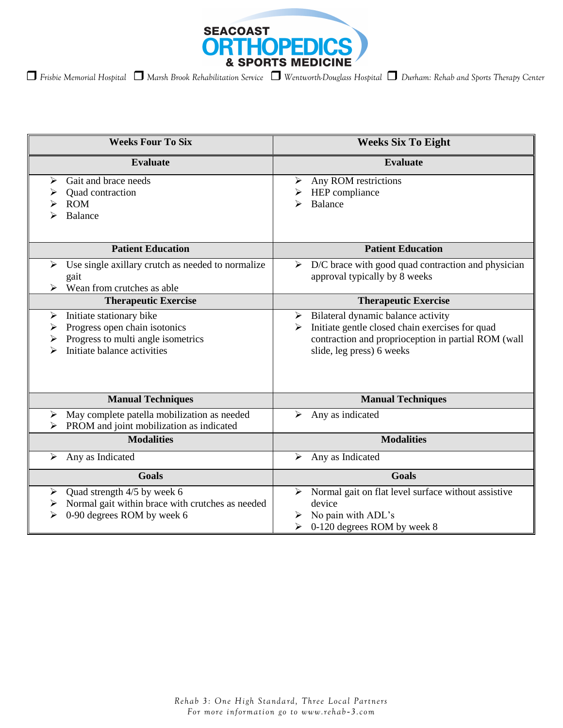

| <b>Weeks Four To Six</b>                                                                                                                           | <b>Weeks Six To Eight</b>                                                                                                                                                      |
|----------------------------------------------------------------------------------------------------------------------------------------------------|--------------------------------------------------------------------------------------------------------------------------------------------------------------------------------|
| <b>Evaluate</b>                                                                                                                                    | <b>Evaluate</b>                                                                                                                                                                |
| Gait and brace needs<br>≻<br>Quad contraction<br><b>ROM</b><br><b>Balance</b>                                                                      | Any ROM restrictions<br>➤<br>HEP compliance<br><b>Balance</b>                                                                                                                  |
| <b>Patient Education</b>                                                                                                                           | <b>Patient Education</b>                                                                                                                                                       |
| Use single axillary crutch as needed to normalize<br>➤<br>gait<br>Wean from crutches as able                                                       | D/C brace with good quad contraction and physician<br>➤<br>approval typically by 8 weeks                                                                                       |
| <b>Therapeutic Exercise</b>                                                                                                                        | <b>Therapeutic Exercise</b>                                                                                                                                                    |
| Initiate stationary bike<br>➤<br>Progress open chain isotonics<br>➤<br>Progress to multi angle isometrics<br>➤<br>Initiate balance activities<br>⋗ | Bilateral dynamic balance activity<br>➤<br>Initiate gentle closed chain exercises for quad<br>contraction and proprioception in partial ROM (wall<br>slide, leg press) 6 weeks |
| <b>Manual Techniques</b>                                                                                                                           | <b>Manual Techniques</b>                                                                                                                                                       |
| May complete patella mobilization as needed<br>➤<br>PROM and joint mobilization as indicated<br>⋗                                                  | Any as indicated<br>➤                                                                                                                                                          |
| <b>Modalities</b>                                                                                                                                  | <b>Modalities</b>                                                                                                                                                              |
| Any as Indicated<br>➤                                                                                                                              | Any as Indicated<br>➤                                                                                                                                                          |
| <b>Goals</b>                                                                                                                                       | <b>Goals</b>                                                                                                                                                                   |
| Quad strength 4/5 by week 6<br>$\blacktriangleright$<br>Normal gait within brace with crutches as needed<br>➤<br>0-90 degrees ROM by week 6<br>⋗   | Normal gait on flat level surface without assistive<br>➤<br>device<br>No pain with ADL's<br>0-120 degrees ROM by week 8<br>⋗                                                   |